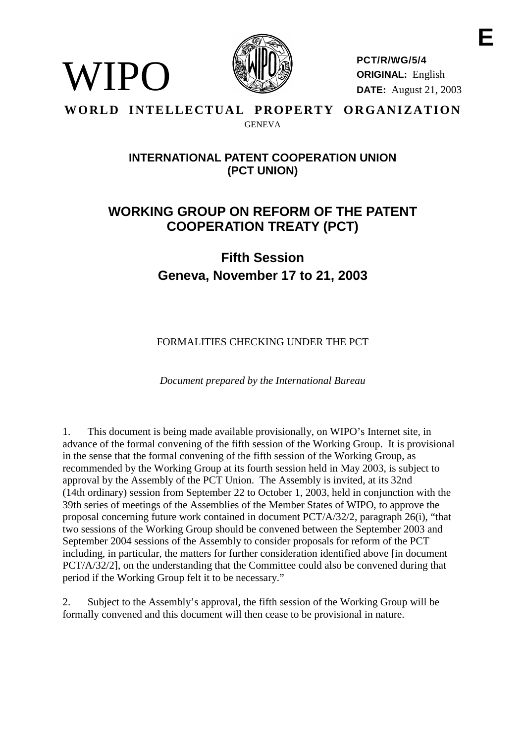

**PCT/R/WG/5/4 ORIGINAL:** English **DATE:** August 21, 2003

# **WORLD INTELLECTUAL PROPERTY ORGANIZATION GENEVA**

WIPO

# **INTERNATIONALPATENT COOPERATIONUNION (PCT UNION)**

# **WORKING GROUP ON REF ORM OF THE PATENT COOPERATION TREATY ( PCT)**

# **Fifth Session Geneva, No vember 17 to 21, 2003**

FORMALITIES CHECKING UNDER THE PCT

*Document prepared by the International Bureau*

1. This document is being made available provisionally, on WIPO's Internet site, in advance of the formal convening of the fifth session of the Working Group. It is provisional in the sense that the formal convening of the fifth session of the Working Group, as recommended by the Working Group at its fourth session held in May 2003, is subject to approval by the Assembly of the PC TUnion. The Assembly is invited, at its 32nd (14th ordinary) session from September 22 to October 1, 2003, held in conjunction with the 39th series of meetings of the Assemblies of the Member States of WIPO, to approve the proposal concerning future work contained indocument  $PCT/A/32/2$ , paragraph  $26(i)$ , "that two sessions of the Working Group should be convened between the September 2003 and September 2004 sessions of the Assembly to consider proposals for reform of the PCT including, in particular, the matters for further consideration identified above [indocument PCT/A/32/2], on the understanding that the Committee could also be convened during that periodif the Working Group felt it to be necessary."

2. Subject to the Assembly is approval, the fifth session of the Working Group will be formally convened and this document will then cease to be provisional innature.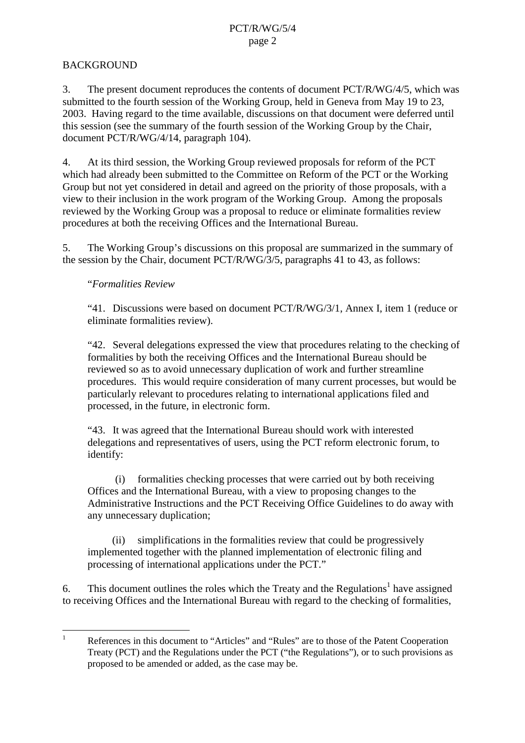# **BACKGROUND**

3. The present document reproduces the contents of document PCT/R/WG/4/5, wh ich was submitted to the fourth session of the Working Group, held in Geneva from May 19 to 23, 2003. Having regard to the time available, discussions on that document were deferred until this session (see the summary of the fourth session of the Working Group by the Chair, document PCT/R/WG/4/14, paragraph 104).

4. At its third session, the Working Group reviewed proposals for reform of the PCT which had already been submitted to the Committee on Reform of the PCT or the Working Group but not yet considered indetail and agreed on the priority of those proposals, with a view to their inclusion in the work program of the Working Group. Among the proposals reviewed by the Working Group was a proposal to reduce or eliminate formalities respectively procedures at both the receiving Offices and the International Bureau.

5. The Working Group's discussions on this proposal are summarized in the summary of thesession by the Chair, document PCT/R/WG/3/5, paragraphs 41 to 43, as follows:

### "*Formalities Review*

"41. Discussions were based on document PCT/R/WG/3/1, Annex I, item 1 (reduce or eliminate formalities review).

"42. Several delegations expressed the view that procedures relating to the checking of formalities by b oth the receiving Offices and the International Bureaushould be reviewed so as to avoid unnecessary duplication of work and further streamline procedures. This would require consideration of many current processes, but would be particularly relevant to p rocedures relating to international applications filed and processed, in the future, in electronic form.

"43. It was agreed that the International Bureau should work with interested delegations and representatives of users, using the PCT reform electronic forum, to identify:

(i) formalities checking processes that we recarried out by both receiving Offices and the International Bureau, with a view to proposing changes to the Administrative Instructions and the PCT Receiving Office Guidelines to do away w ith any unnecessary duplication;

(ii) simplifications in the formalities review that could be progressively implemented to gether with the planned implementation of electronic filing and processing of international applications under the PCT."

6. This document outlines the roles which the Treaty and the Regulations <sup>1</sup> have assigned to receiving Offices and the International Bureau with regard to the checking of formalities,

<sup>&</sup>lt;sup>1</sup> References in this document to "Articles" and "Rules" are to those of the Patent Cooperation Treaty (PCT) and the Regulation sunder the PCT ("the Regulations"), orto such provisi ons as proposed to be amended or added, as the case may be.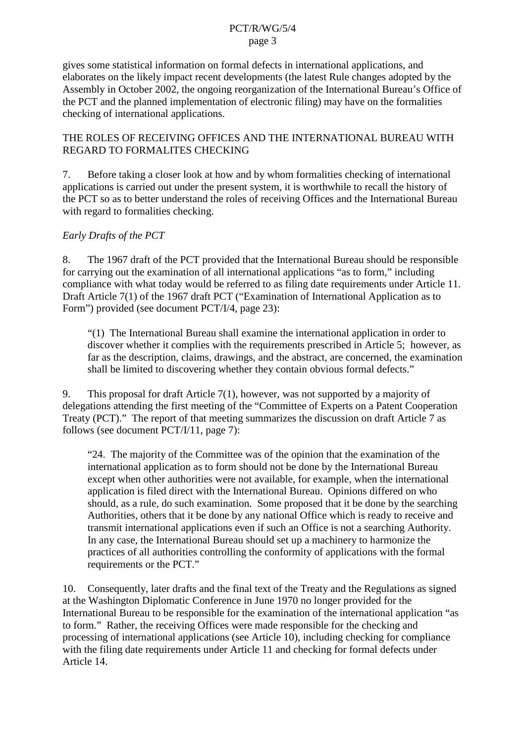gives some statistical information on formal defects in int ernational applications, and elaborates on the likely impact recent developments (the latest Rule changes adopted by the Assembly in October 2002, the ongoing reorganization of the International Bureau's Office of the PCT and the planned implementation of electronic filing may have on the formalities checking of international applications.

#### THEROLES OF RECEIVING OF FICES AND THE INTERNATIONAL BUREAU WITH REGARD TO FORMALITES CHECKING

7. Beforetaking a closer look at how and by who m formalities checking of international applications is carried out under the present system, it is worthwhile to recall the history of the PCT so as to better understand the roles of receiving Offices and the International Bureau with regard to formalitie schecking.

# *Early Drafts of the PCT*

8. The 1967 draft of the PCT provided that the International Bureau should be responsible for carrying out the examination of all international applications "as to form," including compliance with what today would be referred to as filing date requirements under Article 11. Draft Article 7(1) of the 1967 draft PCT ("Examination of International Application as to Form") provided (seedocument PCT/I/4, page 23):

"(1) The International Bureausha llexamine the international application in order to discover whether it complies with the requirements prescribed in Article 5; however, as faras the description, claims, drawings, and the abstract, are concerned, the examination shall be limited to dis covering whether the yeontain obvious formal defects."

9. This proposal for draft Article 7(1), however, was not supported by a majority of delegations attending the first meeting of the "Committee of Experts on a Patent Cooperation on Treaty (PCT). "The report of that meeting summarizes the discussion on draft Article 7 as  $follows (seedocument PCT/I/11, page 7):$ 

"24. The majority of the Committee was of the opinion that the examination of the international application as to form should not be done by the International Bureau except when other authorities were not available, for example, when the international application is filed direct with the International Bureau. Opinions differed on who should, as a rule, do such examination . Some proposed that it be done by the searching Authorities, others that it be done by any national Office which is ready to receive and transmitinternational applications even if such an Office is not as earching Authority. In any case, the Internatio nal Bureau should set up a machinery to harmonize the practices of all authorities controlling the conformity of applications with the formal requirements or the PCT."

10. Consequently, later drafts and the final text of the Treaty and the Regulations as signed at the Washington Diplomatic Conference in June 1970 no longer provided for the International Bureau to be responsible for the examination of the international application "as to form." Rather, the receiving Offices were made responsible for the checking and processing of international applications (see Article 10), including checking for compliance with the filing date requirements under Article 11 and checking for formal defects under Article 14.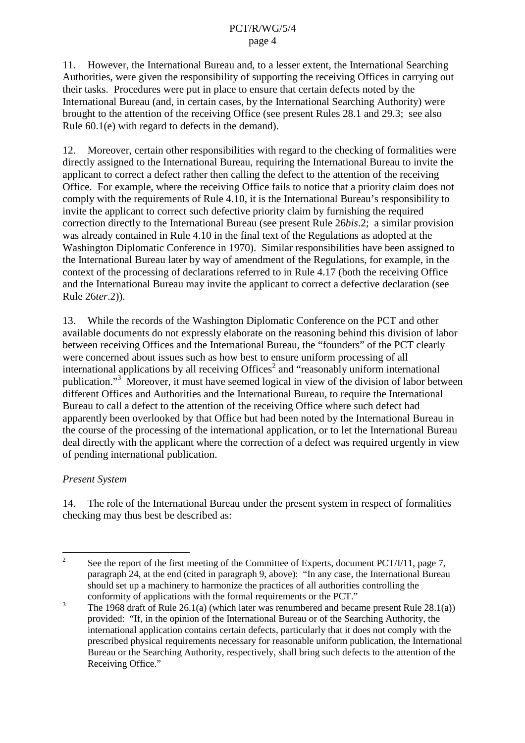11. However, the International Bureau and, to a less erextent, the International Searching Authorities, were given the responsibility of supporting the receiving Offices in carrying out their tasks. Procedures were put in place to ensure that certain defects noted by the International Bureau (and, incertain cases, by the International Searching Authority) were brought to the attention of the receiving Office (see present Rules 28.1 and 29.3; see also Rule 60.1(e) with regard to defect sin the demand).

12. Moreover, certain other responsibilities with regard to the checking of formalities were directly assigned to the International Bureau, requiring the International Bureau to invite the applicant to correct a defect rather then calling the defect to the attention of the receiving Office. For example, where the receiving Office fails to notice that a priority claim does not comply with the requirements of Rule 4.10, it is the International Bureau's responsibility to invite the applicant to correct such defective priority claim by furnishing the required correction directly to the International Bureau (see present Rule 26*bis*.2; a similar provision was already contained in Rule 4.10 in the final text of the Regulations as adopted at the Washington Diplomatic Conference in 1970). Similar responsibilities have been assigned to the International Bureau later by way of amendment of the Regulations, for example, in the context of the processing of declarations referred to in Rule 4.17 (both the receiving Office and the International Bureau may invite the applicant to correct a defective declaration (see Rule 26*ter*.2)).

13. While the records of the Washington Diplomatic Conference on the PCT and other available documents do not expressly elaborate on the reasoning behind this division of labor between receiving Offices and the International Bureau, the "founders" of the PCT clearly were concerned about issues such as how best to ensure uniform processing of all international applications by all receiving Offices <sup>2</sup> and "reasonably uniform international" publication."<sup>3</sup>Moreover, it must have seemed logical inview of the division of labor between different Offices and Authorities and the International Bureau, to require the I nternational Bureautocalladefecttotheattention of the receiving Office where such defect had apparently been overlooked by that Office but had been noted by the International Bureau in the course of the processing of the international application, o resist to let the International Bureau deal directly with the applicant where the correction of a defect was required urgently inview of pending international publication.

### *Present System*

14. The role of the International Bureau under the present system in respect of formalities checking may thus best be described as:

<sup>&</sup>lt;sup>2</sup> See the report of the first meeting of the Committee of Experts, document PCT/I/11, page 7, paragraph 24, at the end (cited in paragraph 9, above): "In any case, the enternation paragraph 24, at the end (cited in paragraph 9, above): "In any case, the electron all Bureau should set up a machinery to harmonize the practices of all authorities controlling the conformity of applications with the formal requirements or the PCT."

 $3$  The 1968 draft of Rule 26.1(a) (which later was renumbered and became pre sent Rule 28.1(a)) provided: "If, in the opinion of the International Bureau or of the Searching Authority, the international application contains certain defects, particularly that it does not comply with the prescribed physical requirements necessary fo r reasonable uniform publication, the International Bureau or the Searching Authority, respectively, shall bring such defects to the attention of the Receiving Office."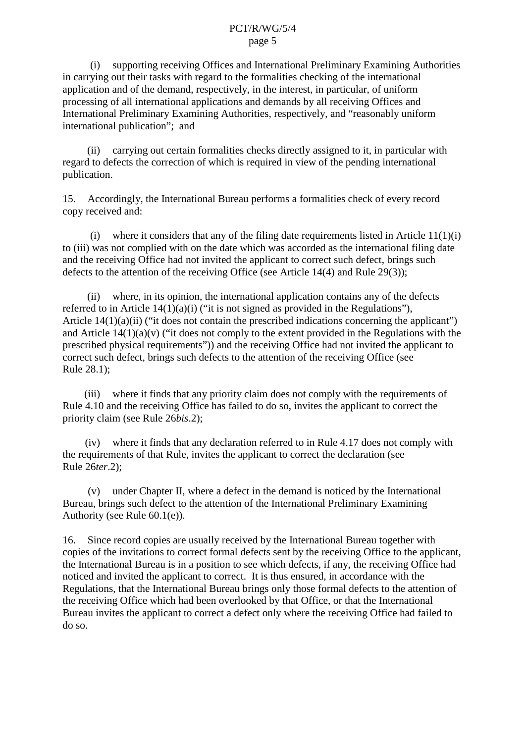(i) supporting receiving Offices and International Preliminary Examining Authorities in carrying out their tasks with regard to the formal ities checking of the internatio nal application and of the demand, respectively, in the interest, in particular, of uniform processing of all international applications and demands by all receiving Offices and International Preliminary Examining Authorities, respectively, and "reasonably uniform international publication"; and

(ii) carrying out certain formalities checks directly assigned to it, in particular with regard to defects the correction of which is required in view of the pending international publication.

15. Accordingly, the International Bureau performs a formalities check of every record copyreceived and:

(i) where it considers that any of the filing date requirements listed in Article  $11(1)(i)$ to (iii) was not complied with on the date which was accorded as the international filing date and the receiving Office had not invited the applicant to correct such defect, brings such defects to the attention of the receiving Office (see Article 14(4) and Rule 29(3));

(ii) where, inits opinion, the international application contains any of the defects referred to in Article  $14(1)(a)(i)$  ("it is not signed as provided in the Regulations"), Article  $14(1)(a)(ii)$  ("it does not contain the prescribed indications concerning the applicant") and Article  $14(1)(a)$  (v) ("it does not comply to the extent provided in the Regulations with the prescribed physical requirements")) and the receiving Office had not invited the applicant to correct such defect, brings such defects to the attention of the receiving Office (see Rule 28.1);

(iii) where it finds that any priority claim does not comply with the requirements of Rule 4.10 and the receiving Office has failed to do so, invites the applicant to correct the priority claim (see Rule 26*bis*.2);

 $(iv)$  where it finds that any declaration referred to in Rule 4.17 does not comply with the requirements of that Rule, invites the applicant to correct the declaration (see Rule 26*ter*.2);

(v) under Chapter II, where a defect in the demand is noticed by the International Bureau, b rings such defect to the attention of the International Preliminary Examining Authority (see Rule  $60.1(e)$ ).

16. Since record copies are usually received by the International Bureau together with copies of the invitations to correct formal defects sent by the receiving Office to the applicant, the International Bureau is in a position to see which defects, if any, the receiving Office had noticed and invited the applicant to correct. It is thus ensured, in accordance with the Regulations, that the International Bureau brings only those formal defects to the attention of the receiving Office which had been overlooked by that Office, or that the International Bureau invites the applicant to correct a defect only where the receiving Office ce had failed to do so.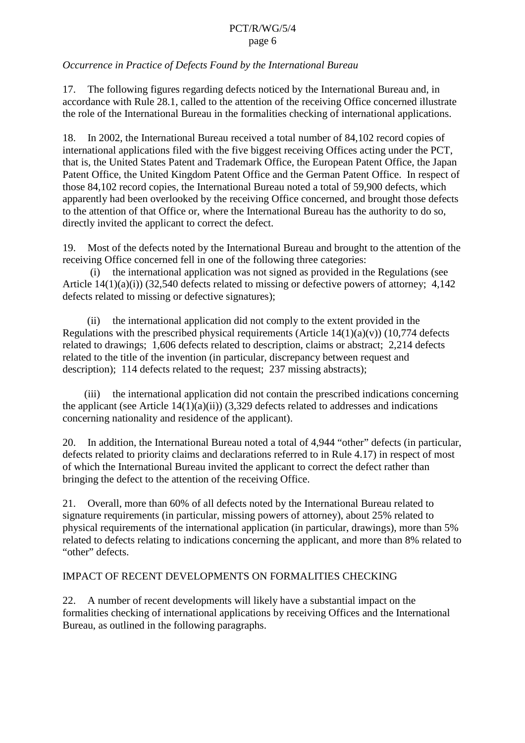# <span id="page-5-0"></span>*Occurrence in Practice of Defects Found by the International Bureau*

17. The following figures regarding defects noticed by the International Bureau and, in accordance with Rule 28.1, called to the attention of the receiving Office concerned illustrate the role of the International Bureau in the formalities checking of international applications.

18. In 2002, the International Bureau received a total number of 84,102 record copies of international applications filed with the five biggest receiving Offices acting under the PCT, that is, the United States Patent and Trademark Office, the European Patent Office, the Japan Patent Office, the United Kingdom Patent Office and the German Paten to ffice. In respect of those 84,102 record copies, the International Bureau noted atotal of 59,900 defects, which apparently had been overlooked by the receiving Office concerned, and brought those defects to the attention of that Office or, where the I meet national Bureau has the authority to do so, directly invited the applicant to correct the defect.

19. Most of the defects noted by the International Bureau and brought to the attention of the receiving Office concerned fellino neof the following three categories:

(i) the international application was not signed as provided in the Regulations (see Article  $14(1)(a)(i)(32,540$  defects related to missing or defective powers of attorney; 4, 142 defects related to missing order fect ive signatures);

(ii) the international application did not comply to the extent provided in the Regulations with the prescribed physical requirements (Article  $14(1)(a)(v)$ ) (10,774 defects related to drawings; 1,606 defects related to description, claim sorabstract; 2,214 defects related to the title of the invention (in particular, discrepancy between requestand description); 114 defects related to the request;  $237$  missing abstracts);

(iii) the international application did not contain the prescr ibed indications concerning the applicant (see Article  $14(1)(a)(ii)$ ) (3,329 defects related to addresses and indications concerning nationality and residence of the applicant).

20. In addition, the International Bureau noted atotal of 4,944 "other" defects (in particular, defects related to priority claims and declarations referred to in Rule 4.17) in respect of most of which the International Bureau invited the applicant to correct the defect rather than bringing the defect to the attention of the receiving Office.

21. Overall, more than 60% of all defects noted by the International Bureau related to signature requirements (in particular, missing powers of attorney), about 25% related to physical requirements of the international application (in particular, drawings), more than 5% related to defects relating to indications concerning the applicant, and more than 8% related to "other" defects.

### IMPACTOFRECENTDEVELOPMENTSONFORMALITIESCHECKING

22. A number of recent developments will likely have a substantial impact on the formalities checking of international applications by receiving Offices and the International Bureau, as outlined in the following paragraphs.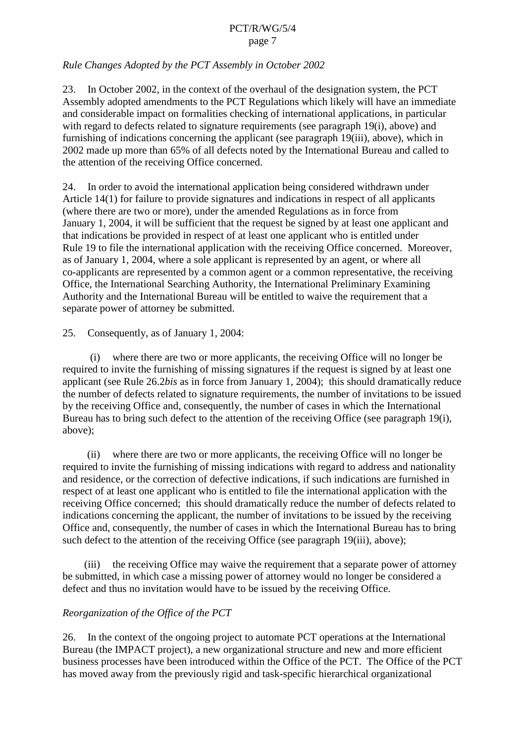# *Rule Changes Adopte d by the PCT Assembly in October 2002*

23. In October 2002, in the context of the overhaul of the designations vstem, the PCT Assembly adopted amendments to the PCT Regulations which likely will have an immediate and considerable imp act on formalities checking of international applications, in particular with regard to defects related to signature requirements (see paragraph [19](#page-5-0)(i), above) and furnishing of indications concerning the applicant (see paragraph [19](#page-5-0)(iii), above), which in 2002 made up more than 65% of all defects noted by the International Bureau and called to the attention of the receiving Office concerned.

24. Inorderto avoid the internationa lapplication being considered withdrawn under Article 14(1) for failure to provide signatures and indications in respect of all applicants (where there are two or more), under the amended Regulations as in force from January 1, 2004, it will be sufficient that the request besigned by at least one applicant and that indications be provided in respect of at least one applicant who is entitled under Rule 19 to file the international application with the receiving Office concerned. Moreover, as of January 1, 2004, where a sole applicant is represented by an agent, or where all co-applicants are represented by a common agent or a common representative, the receiving Office, the International Searching Authority, the International Preliminary Examining Authority and the International Bureau will beentitled to waive the requirement that a separate power of attorney be submitted.

25. Consequently, as of January 1, 2004:

(i) where the reare two or more applicants, the receiving Office wi ll no longer be required to invite the furnishing of missing signatures if the requestissigned by at least one applicant (see Rule 26.2*bis* as inforce from January 1, 2004); this should dramatically reduce the number of defects related to signature requ irements, the number of invitations to be issued by the receiving Office and, consequently, the number of cases in which the International Bureau has to bring such defect to the attention of the receiving Office (see paragraph [19](#page-5-0)(i), above);

(ii) where the reare two or more applicants, the receiving Office will no longer be required to invite the furnishing of missing indications with regard to address and nationality and residence, or the correction of defective indications, i fsuch indications are furnished in respect of at least one applicant who is entitled to file the international application with the receiving Office concerned; this should dramatically reduce the number of defects related to indications concerning the ap plicant, the number of invitations to be issued by the receiving Office and, consequently, the number of cases in which the International Bureau has to bring such defect to the attention of the receiving Office (see paragraph [19](#page-5-0)(iii), above);

(iii) the receiving Office may waive the requirement that as eparate power of attorney be submitted, in which case a missing power of attorney would no longer be considered a defect and thus no invitation would have to be issued by the receiving Office.

### *Reorganization of the Office of the PCT*

26. In the context of the ongoing project to automate PCT operations at the International Bureau (the IMPACT project), a new organizational structure and new and more efficient business processes have been introduced within the Office of the PCT. The Office of the PCT has moved away from the previously rigid and task -specific hierarchical organizational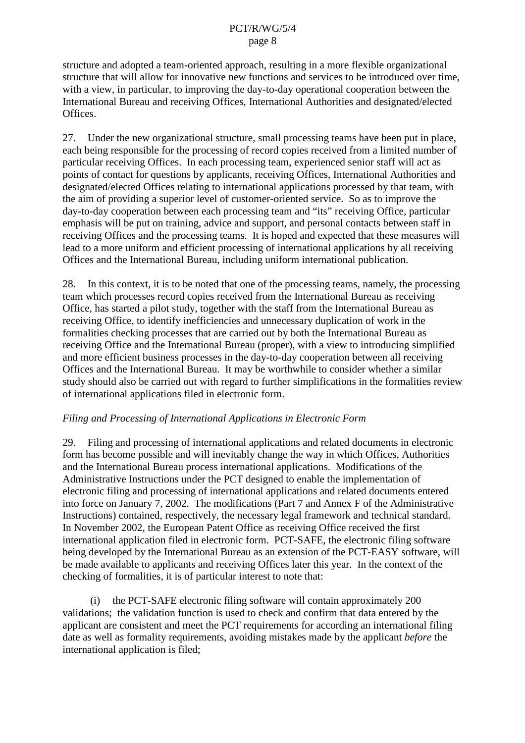<span id="page-7-0"></span>structure and adopted a team -oriented approach, resulting in a more flexibl eorganizational structure that will allow for innovative new functions and services to be introduced over time, with a view, in particular, to improving the day  $-$ to-day operational cooperation between the International Bureau and receiving Offices, Interna tional Authorities and designated/elected Offices.

27. Under the new organizational structure, small processing teams have been put in place, each being responsible for the processing of record copies received from a limited number of particular receiving Offices. In each processing team, experienced senior staff will act as points of contact for questions by applicants, receiving Offices, International Authorities and designated/electedOffices relating to international application sprocessed by that team, with the aim of providing a superior level of customer -oriented service. So as to improve the day-to-day cooperation between each processing team and "its" receiving Office, particular emphasis will be put ontraining, adviced and support, and personal contacts between staff in receiving Offices and the processing teams. It is hoped and expected that these measures will lead to a more uniform and efficient processing of international applications by all receiving Offices and the I nternational Bureau, including uniform international publication.

28. In this context, it is to be noted that one of the processing teams, namely, the processing team which processes record copies received from the International Bur eau as receiving Office, has started a pilot study, to gether with the staff from the International Bureau as receiving Office, to identify inefficiencies and unnecessary duplication of work in the formalities checking processes that are carried out by both the International Bureau as receiving Office and the International Bureau (proper), with a view to introducing simplified and more efficient business processes in the day  $-$ to-day cooperation between all receiving Offices and the International Bureau. It m ay be worthwhile to consider whether a similar study should also be carried out with regard to further simplifications in the formalities review of international applications filed in electronic form.

#### *Filing and Processing of International Applications in Electronic Form*

29. Filing and processing of international applications and related documents in electronic form has become possible and will inevitably change the way in which Offices, Authorities and the International Bureau proc essinternational applications. Modifications of the Administrative Instructions under the PCT designed to enable the implementation of electronic filing and processing of international applications and related documents entered into force on January 7, 2002. The modifications (Part 7 and Annex Fof the Administrative Instructions) contained, respectively, the necessary legal framework and technical standard. In November 2002, the European Patent Office as receiving Office received the first international application filed in electronic form. PCT -SAFE, the electronic filing software being developed by the International Bureau as an extension of the PCT -EASY software, will be made available to applicants and receiving Offices later this year. In the cont extof the checking of formalities, it is of particular interest to note that:

 $(i)$  the PCT -SAFE electronic filing software will contain approximately 200 validations; the validation function is used to check and confirm that data entered by the applicant are consistent and meet the PCT requirements for according an international filing date as well as formality requirements, avoiding mistakes made by the applicant *before* the international application is filed;